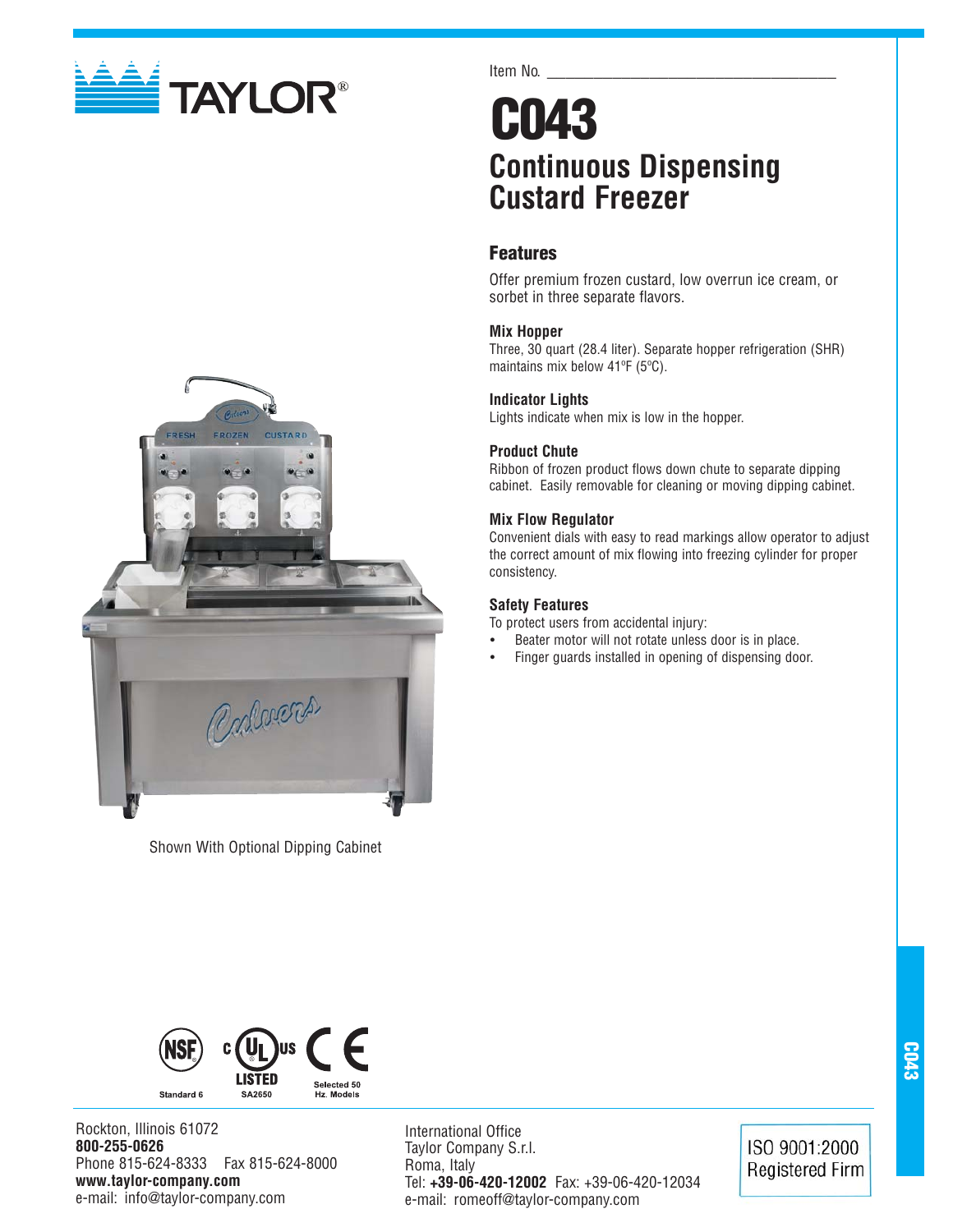



Shown With Optional Dipping Cabinet

Item No.

# **C043 Continuous Dispensing Custard Freezer**

# **Features**

Offer premium frozen custard, low overrun ice cream, or sorbet in three separate flavors.

# **Mix Hopper**

Three, 30 quart (28.4 liter). Separate hopper refrigeration (SHR) maintains mix below 41ºF (5ºC).

# **Indicator Lights**

Lights indicate when mix is low in the hopper.

# **Product Chute**

Ribbon of frozen product flows down chute to separate dipping cabinet. Easily removable for cleaning or moving dipping cabinet.

# **Mix Flow Regulator**

Convenient dials with easy to read markings allow operator to adjust the correct amount of mix flowing into freezing cylinder for proper consistency.

# **Safety Features**

To protect users from accidental injury:

- Beater motor will not rotate unless door is in place.
- Finger guards installed in opening of dispensing door.



Rockton, Illinois 61072 **800-255-0626** Phone 815-624-8333 Fax 815-624-8000 **www.taylor-company.com** e-mail: info@taylor-company.com

International Office Taylor Company S.r.l. Roma, Italy Tel: **+39-06-420-12002** Fax: +39-06-420-12034 e-mail: romeoff@taylor-company.com

ISO 9001:2000 **Registered Firm**